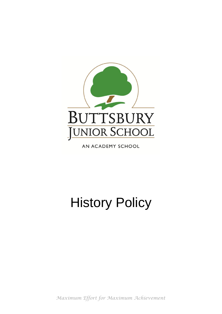

AN ACADEMY SCHOOL

# History Policy

*Maximum Effort for Maximum Achievement*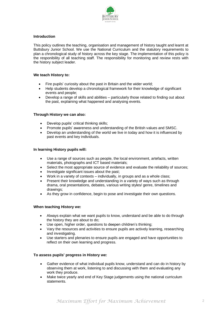

# **Introduction**

This policy outlines the teaching, organisation and management of history taught and learnt at Buttsbury Junior School. We use the National Curriculum and the statutory requirements to plan a chronological study of history across the key stage. The implementation of this policy is the responibility of all teaching staff. The responsibility for monitoring and review rests with the history subject leader.

# **We teach History to:**

- Fire pupils' curiosity about the past in Britain and the wider world;
- Help students develop a chronological framework for their knowledge of significant events and people;
- Develop a range of skills and abilities particularly those related to finding out about the past, explaining what happened and analysing events.

# **Through History we can also:**

- Develop pupils' critical thinking skills;
- Promote pupils' awareness and understanding of the British values and SMSC.
- Develop an understanding of the world we live in today and how it is influenced by past events and key individuals.

#### **In learning History pupils will:**

- Use a range of sources such as people, the local environment, artefacts, written materials, photographs and ICT based materials;
- Select the most appropriate source of evidence and evaluate the reliability of sources;
- Investigate significant issues about the past;
- Work in a variety of contexts individually, in groups and as a whole class;
- Present their knowledge and understanding in a variety of ways such as through drama, oral presentations, debates, various writing styles/ genre, timelines and drawings;
- As they grow in confidence, begin to pose and investigate their own questions.

# **When teaching History we:**

- Always explain what we want pupils to know, understand and be able to do through the history they are about to do;
- Use open, higher order, questions to deepen children's thinking;
- Vary the resources and activities to ensure pupils are actively learning, researching and investigating.
- Use starters and plenaries to ensure pupils are engaged and have opportunities to reflect on their own learning and progress.

# **To assess pupils' progress in History we:**

- Gather evidence of what individual pupils know, understand and can do in history by observing them at work, listening to and discussing with them and evaluating any work they produce.
- Make twice yearly and end of Key Stage judgements using the national curriculum statements.